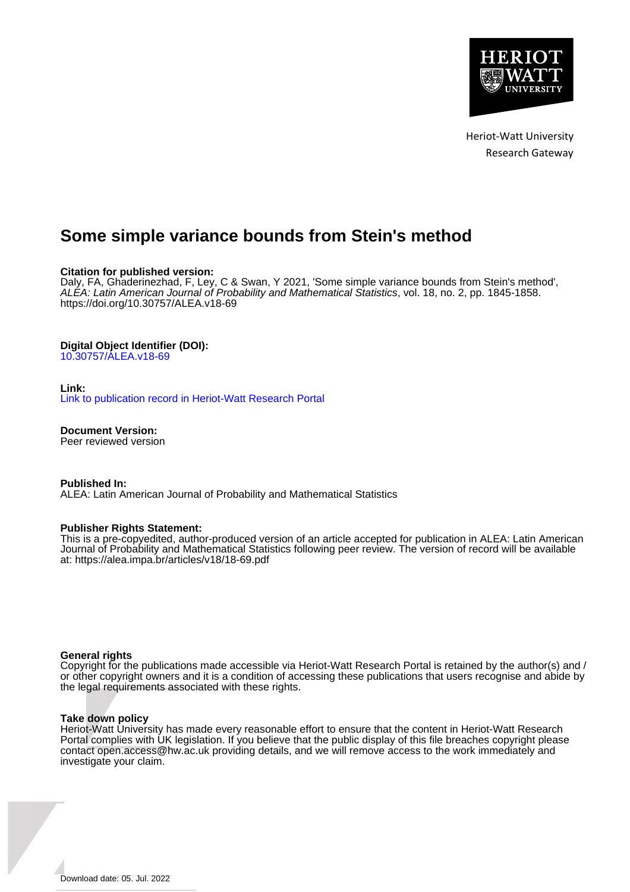

Heriot-Watt University Research Gateway

# **Some simple variance bounds from Stein's method**

## **Citation for published version:**

Daly, FA, Ghaderinezhad, F, Ley, C & Swan, Y 2021, 'Some simple variance bounds from Stein's method', ALEA: Latin American Journal of Probability and Mathematical Statistics, vol. 18, no. 2, pp. 1845-1858. <https://doi.org/10.30757/ALEA.v18-69>

## **Digital Object Identifier (DOI):**

[10.30757/ALEA.v18-69](https://doi.org/10.30757/ALEA.v18-69)

## **Link:**

[Link to publication record in Heriot-Watt Research Portal](https://researchportal.hw.ac.uk/en/publications/9e68e73a-ea04-4f26-9638-ba058fb55d03)

**Document Version:** Peer reviewed version

**Published In:**

ALEA: Latin American Journal of Probability and Mathematical Statistics

## **Publisher Rights Statement:**

This is a pre-copyedited, author-produced version of an article accepted for publication in ALEA: Latin American Journal of Probability and Mathematical Statistics following peer review. The version of record will be available at: https://alea.impa.br/articles/v18/18-69.pdf

## **General rights**

Copyright for the publications made accessible via Heriot-Watt Research Portal is retained by the author(s) and / or other copyright owners and it is a condition of accessing these publications that users recognise and abide by the legal requirements associated with these rights.

## **Take down policy**

Heriot-Watt University has made every reasonable effort to ensure that the content in Heriot-Watt Research Portal complies with UK legislation. If you believe that the public display of this file breaches copyright please contact open.access@hw.ac.uk providing details, and we will remove access to the work immediately and investigate your claim.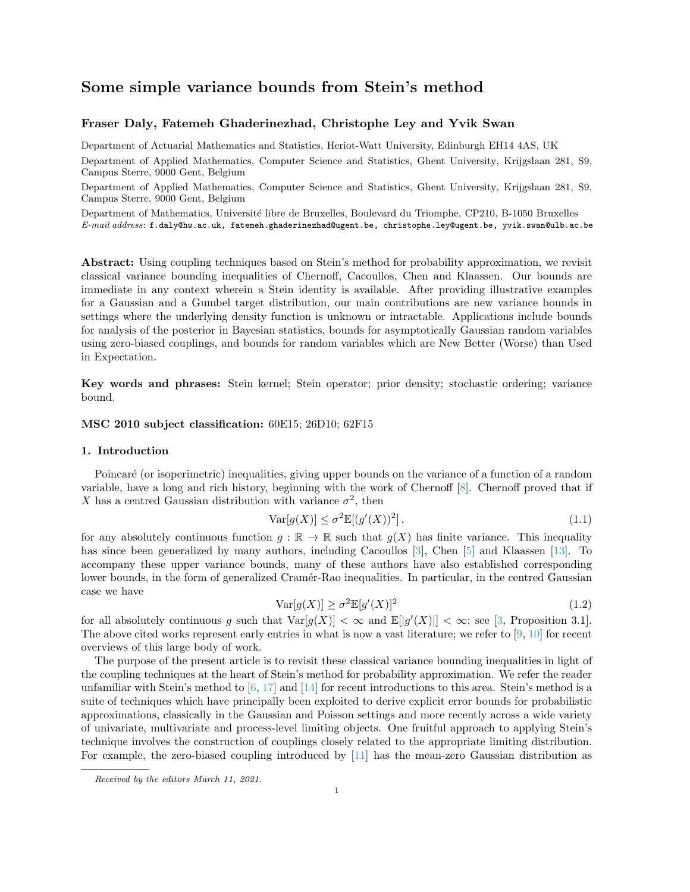# Some simple variance bounds from Stein's method

## Fraser Daly, Fatemeh Ghaderinezhad, Christophe Ley and Yvik Swan

Department of Actuarial Mathematics and Statistics, Heriot-Watt University, Edinburgh EH14 4AS, UK

Department of Applied Mathematics, Computer Science and Statistics, Ghent University, Krijgslaan 281, S9, Campus Sterre, 9000 Gent, Belgium

Department of Applied Mathematics, Computer Science and Statistics, Ghent University, Krijgslaan 281, S9, Campus Sterre, 9000 Gent, Belgium

Department of Mathematics, Université libre de Bruxelles, Boulevard du Triomphe, CP210, B-1050 Bruxelles E-mail address: f.daly@hw.ac.uk, fatemeh.ghaderinezhad@ugent.be, christophe.ley@ugent.be, yvik.swan@ulb.ac.be

Abstract: Using coupling techniques based on Stein's method for probability approximation, we revisit classical variance bounding inequalities of Chernoff, Cacoullos, Chen and Klaassen. Our bounds are immediate in any context wherein a Stein identity is available. After providing illustrative examples for a Gaussian and a Gumbel target distribution, our main contributions are new variance bounds in settings where the underlying density function is unknown or intractable. Applications include bounds for analysis of the posterior in Bayesian statistics, bounds for asymptotically Gaussian random variables using zero-biased couplings, and bounds for random variables which are New Better (Worse) than Used in Expectation.

Key words and phrases: Stein kernel; Stein operator; prior density; stochastic ordering; variance bound.

#### MSC 2010 subject classification: 60E15; 26D10; 62F15

## <span id="page-1-1"></span>1. Introduction

Poincaré (or isoperimetric) inequalities, giving upper bounds on the variance of a function of a random variable, have a long and rich history, beginning with the work of Chernoff [\[8\]](#page-10-0). Chernoff proved that if X has a centred Gaussian distribution with variance  $\sigma^2$ , then

<span id="page-1-0"></span>
$$
\operatorname{Var}[g(X)] \le \sigma^2 \mathbb{E}[(g'(X))^2],\tag{1.1}
$$

for any absolutely continuous function  $g : \mathbb{R} \to \mathbb{R}$  such that  $g(X)$  has finite variance. This inequality has since been generalized by many authors, including Cacoullos [\[3\]](#page-10-1), Chen [\[5\]](#page-10-2) and Klaassen [\[13\]](#page-10-3). To accompany these upper variance bounds, many of these authors have also established corresponding lower bounds, in the form of generalized Cramér-Rao inequalities. In particular, in the centred Gaussian case we have

<span id="page-1-2"></span>
$$
\text{Var}[g(X)] \ge \sigma^2 \mathbb{E}[g'(X)]^2 \tag{1.2}
$$

for all absolutely continuous g such that  $Var[g(X)] < \infty$  and  $\mathbb{E}[|g'(X)|] < \infty$ ; see [\[3,](#page-10-1) Proposition 3.1]. The above cited works represent early entries in what is now a vast literature; we refer to [\[9,](#page-10-4) [10\]](#page-10-5) for recent overviews of this large body of work.

The purpose of the present article is to revisit these classical variance bounding inequalities in light of the coupling techniques at the heart of Stein's method for probability approximation. We refer the reader unfamiliar with Stein's method to  $[6, 17]$  $[6, 17]$  and  $[14]$  for recent introductions to this area. Stein's method is a suite of techniques which have principally been exploited to derive explicit error bounds for probabilistic approximations, classically in the Gaussian and Poisson settings and more recently across a wide variety of univariate, multivariate and process-level limiting objects. One fruitful approach to applying Stein's technique involves the construction of couplings closely related to the appropriate limiting distribution. For example, the zero-biased coupling introduced by [\[11\]](#page-10-8) has the mean-zero Gaussian distribution as

Received by the editors March 11, 2021.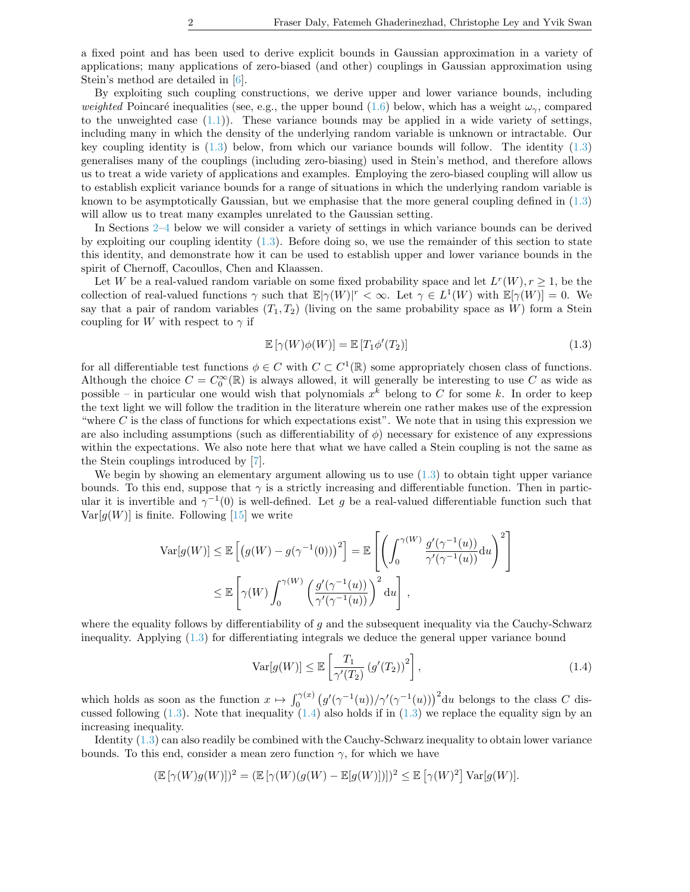a fixed point and has been used to derive explicit bounds in Gaussian approximation in a variety of applications; many applications of zero-biased (and other) couplings in Gaussian approximation using Stein's method are detailed in [\[6\]](#page-10-6).

By exploiting such coupling constructions, we derive upper and lower variance bounds, including weighted Poincaré inequalities (see, e.g., the upper bound [\(1.6\)](#page-3-0) below, which has a weight  $\omega_{\gamma}$ , compared to the unweighted case  $(1.1)$ ). These variance bounds may be applied in a wide variety of settings, including many in which the density of the underlying random variable is unknown or intractable. Our key coupling identity is  $(1.3)$  below, from which our variance bounds will follow. The identity  $(1.3)$ generalises many of the couplings (including zero-biasing) used in Stein's method, and therefore allows us to treat a wide variety of applications and examples. Employing the zero-biased coupling will allow us to establish explicit variance bounds for a range of situations in which the underlying random variable is known to be asymptotically Gaussian, but we emphasise that the more general coupling defined in [\(1.3\)](#page-2-0) will allow us to treat many examples unrelated to the Gaussian setting.

In Sections [2–](#page-4-0)[4](#page-7-0) below we will consider a variety of settings in which variance bounds can be derived by exploiting our coupling identity  $(1.3)$ . Before doing so, we use the remainder of this section to state this identity, and demonstrate how it can be used to establish upper and lower variance bounds in the spirit of Chernoff, Cacoullos, Chen and Klaassen.

Let W be a real-valued random variable on some fixed probability space and let  $L^r(W), r \geq 1$ , be the collection of real-valued functions  $\gamma$  such that  $\mathbb{E}[\gamma(W)]^r < \infty$ . Let  $\gamma \in L^1(W)$  with  $\mathbb{E}[\gamma(W)] = 0$ . We say that a pair of random variables  $(T_1, T_2)$  (living on the same probability space as W) form a Stein coupling for  $W$  with respect to  $\gamma$  if

<span id="page-2-0"></span>
$$
\mathbb{E}[\gamma(W)\phi(W)] = \mathbb{E}[T_1\phi'(T_2)] \tag{1.3}
$$

for all differentiable test functions  $\phi \in C$  with  $C \subset C^1(\mathbb{R})$  some appropriately chosen class of functions. Although the choice  $C = C_0^{\infty}(\mathbb{R})$  is always allowed, it will generally be interesting to use C as wide as possible – in particular one would wish that polynomials  $x^k$  belong to C for some k. In order to keep the text light we will follow the tradition in the literature wherein one rather makes use of the expression "where  $C$  is the class of functions for which expectations exist". We note that in using this expression we are also including assumptions (such as differentiability of  $\phi$ ) necessary for existence of any expressions within the expectations. We also note here that what we have called a Stein coupling is not the same as the Stein couplings introduced by [\[7\]](#page-10-9).

We begin by showing an elementary argument allowing us to use  $(1.3)$  to obtain tight upper variance bounds. To this end, suppose that  $\gamma$  is a strictly increasing and differentiable function. Then in particular it is invertible and  $\gamma^{-1}(0)$  is well-defined. Let g be a real-valued differentiable function such that  $Var[q(W)]$  is finite. Following [\[15\]](#page-10-10) we write

$$
\operatorname{Var}[g(W)] \leq \mathbb{E}\left[\left(g(W) - g(\gamma^{-1}(0))\right)^2\right] = \mathbb{E}\left[\left(\int_0^{\gamma(W)} \frac{g'(\gamma^{-1}(u))}{\gamma'(\gamma^{-1}(u))} du\right)^2\right]
$$
  

$$
\leq \mathbb{E}\left[\gamma(W)\int_0^{\gamma(W)} \left(\frac{g'(\gamma^{-1}(u))}{\gamma'(\gamma^{-1}(u))}\right)^2 du\right],
$$

where the equality follows by differentiability of q and the subsequent inequality via the Cauchy-Schwarz inequality. Applying [\(1.3\)](#page-2-0) for differentiating integrals we deduce the general upper variance bound

<span id="page-2-1"></span>
$$
\operatorname{Var}[g(W)] \le \mathbb{E}\left[\frac{T_1}{\gamma'(T_2)}\left(g'(T_2)\right)^2\right],\tag{1.4}
$$

which holds as soon as the function  $x \mapsto \int_0^{\gamma(x)} (g'(\gamma^{-1}(u))/\gamma'(\gamma^{-1}(u)))^2 du$  belongs to the class C discussed following  $(1.3)$ . Note that inequality  $(1.4)$  also holds if in  $(1.3)$  we replace the equality sign by an increasing inequality.

Identity [\(1.3\)](#page-2-0) can also readily be combined with the Cauchy-Schwarz inequality to obtain lower variance bounds. To this end, consider a mean zero function  $\gamma$ , for which we have

$$
(\mathbb{E}[\gamma(W)g(W)])^2 = (\mathbb{E}[\gamma(W)(g(W) - \mathbb{E}[g(W)])])^2 \leq \mathbb{E}[\gamma(W)^2] \operatorname{Var}[g(W)].
$$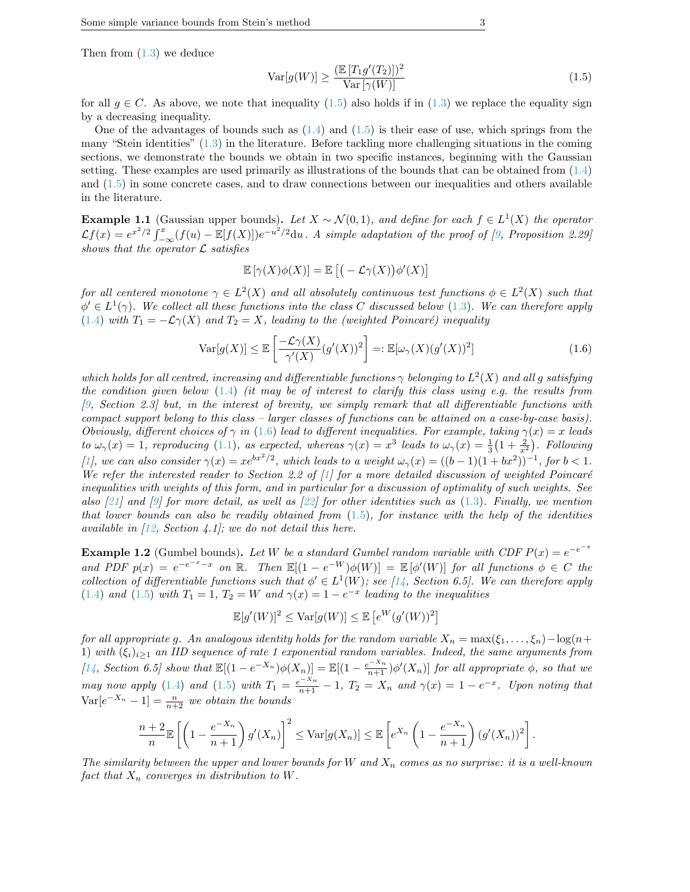Then from  $(1.3)$  we deduce

<span id="page-3-1"></span>
$$
\operatorname{Var}[g(W)] \ge \frac{(\mathbb{E}[T_1 g'(T_2)])^2}{\operatorname{Var}[\gamma(W)]} \tag{1.5}
$$

for all  $g \in C$ . As above, we note that inequality [\(1.5\)](#page-3-1) also holds if in [\(1.3\)](#page-2-0) we replace the equality sign by a decreasing inequality.

One of the advantages of bounds such as  $(1.4)$  and  $(1.5)$  is their ease of use, which springs from the many "Stein identities" [\(1.3\)](#page-2-0) in the literature. Before tackling more challenging situations in the coming sections, we demonstrate the bounds we obtain in two specific instances, beginning with the Gaussian setting. These examples are used primarily as illustrations of the bounds that can be obtained from [\(1.4\)](#page-2-1) and [\(1.5\)](#page-3-1) in some concrete cases, and to draw connections between our inequalities and others available in the literature.

**Example 1.1** (Gaussian upper bounds). Let  $X \sim \mathcal{N}(0,1)$ , and define for each  $f \in L^1(X)$  the operator  $\mathcal{L}f(x) = e^{x^2/2} \int_{-\infty}^x (f(u) - \mathbb{E}[f(X)]) e^{-u^2/2} du$ . A simple adaptation of the proof of [\[9,](#page-10-4) Proposition 2.29] shows that the operator  $\mathcal L$  satisfies

$$
\mathbb{E}[\gamma(X)\phi(X)] = \mathbb{E}\left[(-\mathcal{L}\gamma(X))\phi'(X)\right]
$$

for all centered monotone  $\gamma \in L^2(X)$  and all absolutely continuous test functions  $\phi \in L^2(X)$  such that  $\phi' \in L^1(\gamma)$ . We collect all these functions into the class C discussed below [\(1.3\)](#page-2-0). We can therefore apply [\(1.4\)](#page-2-1) with  $T_1 = -\mathcal{L}\gamma(X)$  and  $T_2 = X$ , leading to the (weighted Poincaré) inequality

<span id="page-3-0"></span>
$$
\text{Var}[g(X)] \le \mathbb{E}\left[\frac{-\mathcal{L}\gamma(X)}{\gamma'(X)}(g'(X))^2\right] =: \mathbb{E}[\omega_\gamma(X)(g'(X))^2]
$$
\n(1.6)

which holds for all centred, increasing and differentiable functions  $\gamma$  belonging to  $L^2(X)$  and all g satisfying the condition given below [\(1.4\)](#page-2-1) (it may be of interest to clarify this class using e.g. the results from [\[9,](#page-10-4) Section 2.3] but, in the interest of brevity, we simply remark that all differentiable functions with compact support belong to this class – larger classes of functions can be attained on a case-by-case basis). Obviously, different choices of  $\gamma$  in [\(1.6\)](#page-3-0) lead to different inequalities. For example, taking  $\gamma(x) = x$  leads to  $\omega_{\gamma}(x) = 1$ , reproducing [\(1.1\)](#page-1-0), as expected, whereas  $\gamma(x) = x^3$  leads to  $\omega_{\gamma}(x) = \frac{1}{3}(1 + \frac{2}{x^2})$ . Following [\[1\]](#page-10-11), we can also consider  $\gamma(x) = xe^{bx^2/2}$ , which leads to a weight  $\omega_{\gamma}(x) = ((b-1)(1+bx^2))^{-1}$ , for  $b < 1$ . We refer the interested reader to Section 2.2 of  $[1]$  for a more detailed discussion of weighted Poincaré inequalities with weights of this form, and in particular for a discussion of optimality of such weights. See also [\[21\]](#page-11-1) and [\[9\]](#page-10-4) for more detail, as well as [\[22\]](#page-11-2) for other identities such as  $(1.3)$ . Finally, we mention that lower bounds can also be readily obtained from  $(1.5)$ , for instance with the help of the identities available in  $(12, Section 4.1)$ ; we do not detail this here.

**Example 1.2** (Gumbel bounds). Let W be a standard Gumbel random variable with CDF  $P(x) = e^{-e^{-x}}$ and PDF  $p(x) = e^{-e^{-x}-x}$  on  $\mathbb{R}$ . Then  $\mathbb{E}[(1-e^{-W})\phi(W)] = \mathbb{E}[\phi'(W)]$  for all functions  $\phi \in C$  the collection of differentiable functions such that  $\phi' \in L^1(W)$ ; see [\[14,](#page-10-7) Section 6.5]. We can therefore apply [\(1.4\)](#page-2-1) and [\(1.5\)](#page-3-1) with  $T_1 = 1$ ,  $T_2 = W$  and  $\gamma(x) = 1 - e^{-x}$  leading to the inequalities

$$
\mathbb{E}[g'(W)]^2 \leq \text{Var}[g(W)] \leq \mathbb{E}\left[e^W(g'(W))^2\right]
$$

for all appropriate g. An analogous identity holds for the random variable  $X_n = \max(\xi_1, \ldots, \xi_n) - \log(n+\xi)$ 1) with  $(\xi_i)_{i\geq1}$  an IID sequence of rate 1 exponential random variables. Indeed, the same arguments from [\[14,](#page-10-7) Section 6.5] show that  $\mathbb{E}[(1-e^{-X_n})\phi(X_n)] = \mathbb{E}[(1-\frac{e^{-X_n}}{n+1})\phi'(X_n)]$  for all appropriate  $\phi$ , so that we may now apply [\(1.4\)](#page-2-1) and [\(1.5\)](#page-3-1) with  $T_1 = \frac{e^{-x_n}}{n+1} - 1$ ,  $T_2 = X_n$  and  $\gamma(x) = 1 - e^{-x}$ . Upon noting that  $Var[e^{-X_n} - 1] = \frac{n}{n+2}$  we obtain the bounds

$$
\frac{n+2}{n}\mathbb{E}\left[\left(1-\frac{e^{-X_n}}{n+1}\right)g'(X_n)\right]^2 \leq \text{Var}[g(X_n)] \leq \mathbb{E}\left[e^{X_n}\left(1-\frac{e^{-X_n}}{n+1}\right)(g'(X_n))^2\right].
$$

The similarity between the upper and lower bounds for W and  $X_n$  comes as no surprise: it is a well-known fact that  $X_n$  converges in distribution to W.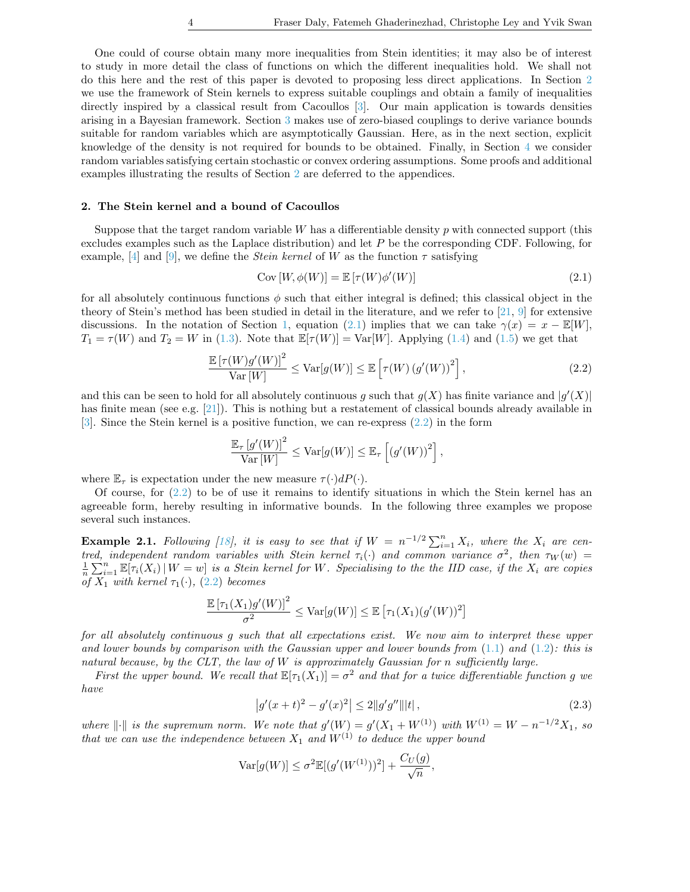One could of course obtain many more inequalities from Stein identities; it may also be of interest to study in more detail the class of functions on which the different inequalities hold. We shall not do this here and the rest of this paper is devoted to proposing less direct applications. In Section [2](#page-4-0) we use the framework of Stein kernels to express suitable couplings and obtain a family of inequalities directly inspired by a classical result from Cacoullos [\[3\]](#page-10-1). Our main application is towards densities arising in a Bayesian framework. Section [3](#page-6-0) makes use of zero-biased couplings to derive variance bounds suitable for random variables which are asymptotically Gaussian. Here, as in the next section, explicit knowledge of the density is not required for bounds to be obtained. Finally, in Section [4](#page-7-0) we consider random variables satisfying certain stochastic or convex ordering assumptions. Some proofs and additional examples illustrating the results of Section [2](#page-4-0) are deferred to the appendices.

#### <span id="page-4-0"></span>2. The Stein kernel and a bound of Cacoullos

Suppose that the target random variable  $W$  has a differentiable density  $p$  with connected support (this excludes examples such as the Laplace distribution) and let  $P$  be the corresponding CDF. Following, for example, [\[4\]](#page-10-13) and [\[9\]](#page-10-4), we define the *Stein kernel* of W as the function  $\tau$  satisfying

<span id="page-4-1"></span>
$$
Cov [W, \phi(W)] = \mathbb{E} [\tau(W)\phi'(W)] \tag{2.1}
$$

for all absolutely continuous functions  $\phi$  such that either integral is defined; this classical object in the theory of Stein's method has been studied in detail in the literature, and we refer to [\[21,](#page-11-1) [9\]](#page-10-4) for extensive discussions. In the notation of Section [1,](#page-1-1) equation [\(2.1\)](#page-4-1) implies that we can take  $\gamma(x) = x - \mathbb{E}[W]$ ,  $T_1 = \tau(W)$  and  $T_2 = W$  in [\(1.3\)](#page-2-0). Note that  $\mathbb{E}[\tau(W)] = \text{Var}[W]$ . Applying [\(1.4\)](#page-2-1) and [\(1.5\)](#page-3-1) we get that

<span id="page-4-2"></span>
$$
\frac{\mathbb{E}\left[\tau(W)g'(W)\right]^2}{\text{Var}[W]} \le \text{Var}[g(W)] \le \mathbb{E}\left[\tau(W)\left(g'(W)\right)^2\right],\tag{2.2}
$$

and this can be seen to hold for all absolutely continuous g such that  $g(X)$  has finite variance and  $|g'(X)|$ has finite mean (see e.g.  $[21]$ ). This is nothing but a restatement of classical bounds already available in [\[3\]](#page-10-1). Since the Stein kernel is a positive function, we can re-express [\(2.2\)](#page-4-2) in the form

$$
\frac{\mathbb{E}_{\tau}\left[g'(W)\right]^2}{\text{Var}\left[W\right]} \leq \text{Var}[g(W)] \leq \mathbb{E}_{\tau}\left[\left(g'(W)\right)^2\right],
$$

where  $\mathbb{E}_{\tau}$  is expectation under the new measure  $\tau(\cdot)dP(\cdot)$ .

Of course, for  $(2.2)$  to be of use it remains to identify situations in which the Stein kernel has an agreeable form, hereby resulting in informative bounds. In the following three examples we propose several such instances.

**Example 2.1.** Following [\[18\]](#page-11-3), it is easy to see that if  $W = n^{-1/2} \sum_{i=1}^{n} X_i$ , where the  $X_i$  are centred, independent random variables with Stein kernel  $\tau_i(\cdot)$  and common variance  $\sigma^2$ , then  $\tau_W(w)$  =  $\frac{1}{n}\sum_{i=1}^n \mathbb{E}[\tau_i(X_i) | W = w]$  is a Stein kernel for W. Specialising to the the IID case, if the  $X_i$  are copies of  $X_1$  with kernel  $\tau_1(\cdot)$ , [\(2.2\)](#page-4-2) becomes

$$
\frac{\mathbb{E}[\tau_1(X_1)g'(W)]^2}{\sigma^2} \leq \text{Var}[g(W)] \leq \mathbb{E}[\tau_1(X_1)(g'(W))^2]
$$

for all absolutely continuous g such that all expectations exist. We now aim to interpret these upper and lower bounds by comparison with the Gaussian upper and lower bounds from  $(1.1)$  and  $(1.2)$ : this is natural because, by the CLT, the law of  $W$  is approximately Gaussian for n sufficiently large.

First the upper bound. We recall that  $\mathbb{E}[\tau_1(X_1)] = \sigma^2$  and that for a twice differentiable function g we have

<span id="page-4-3"></span>
$$
\left|g'(x+t)^2 - g'(x)^2\right| \le 2\|g'g''\|\|t\|,\tag{2.3}
$$

where  $\|\cdot\|$  is the supremum norm. We note that  $g'(W) = g'(X_1 + W^{(1)})$  with  $W^{(1)} = W - n^{-1/2}X_1$ , so that we can use the independence between  $X_1$  and  $W^{(1)}$  to deduce the upper bound

$$
Var[g(W)] \le \sigma^2 \mathbb{E}[(g'(W^{(1)}))^2] + \frac{C_U(g)}{\sqrt{n}},
$$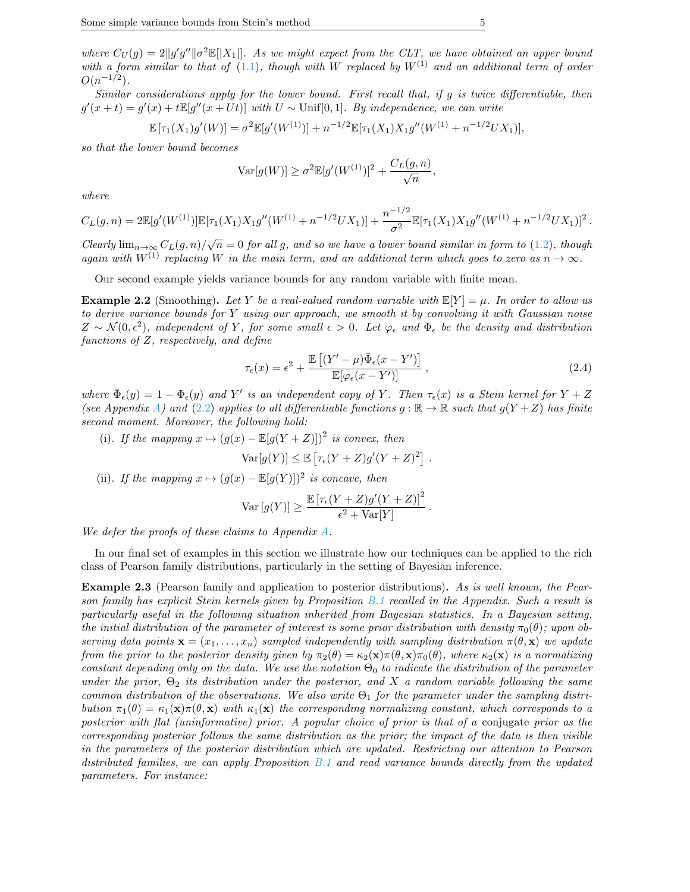where  $C_U(g) = 2||g'g''||\sigma^2 \mathbb{E}[|X_1|]$ . As we might expect from the CLT, we have obtained an upper bound with a form similar to that of [\(1.1\)](#page-1-0), though with W replaced by  $W^{(1)}$  and an additional term of order  $O(n^{-1/2})$ .

Similar considerations apply for the lower bound. First recall that, if g is twice differentiable, then  $g'(x+t) = g'(x) + t\mathbb{E}[g''(x+Ut)]$  with  $U \sim$  Unif[0,1]. By independence, we can write

$$
\mathbb{E}[\tau_1(X_1)g'(W)] = \sigma^2 \mathbb{E}[g'(W^{(1)})] + n^{-1/2} \mathbb{E}[\tau_1(X_1)X_1g''(W^{(1)} + n^{-1/2}UX_1)],
$$

so that the lower bound becomes

$$
\operatorname{Var}[g(W)] \ge \sigma^2 \mathbb{E}[g'(W^{(1)})]^2 + \frac{C_L(g, n)}{\sqrt{n}},
$$

where

$$
C_L(g,n) = 2\mathbb{E}[g'(W^{(1)})]\mathbb{E}[\tau_1(X_1)X_1g''(W^{(1)}+n^{-1/2}UX_1)] + \frac{n^{-1/2}}{\sigma^2}\mathbb{E}[\tau_1(X_1)X_1g''(W^{(1)}+n^{-1/2}UX_1)]^2.
$$

Clearly  $\lim_{n\to\infty} C_L(g,n)/\sqrt{n} = 0$  for all g, and so we have a lower bound similar in form to [\(1.2\)](#page-1-2), though again with  $W^{(1)}$  replacing W in the main term, and an additional term which goes to zero as  $n \to \infty$ .

Our second example yields variance bounds for any random variable with finite mean.

<span id="page-5-0"></span>**Example 2.2** (Smoothing). Let Y be a real-valued random variable with  $\mathbb{E}[Y] = \mu$ . In order to allow us to derive variance bounds for Y using our approach, we smooth it by convolving it with Gaussian noise  $Z \sim \mathcal{N}(0, \epsilon^2)$ , independent of Y, for some small  $\epsilon > 0$ . Let  $\varphi_{\epsilon}$  and  $\Phi_{\epsilon}$  be the density and distribution functions of Z, respectively, and define

<span id="page-5-1"></span>
$$
\tau_{\epsilon}(x) = \epsilon^2 + \frac{\mathbb{E}\left[ (Y' - \mu)\bar{\Phi}_{\epsilon}(x - Y') \right]}{\mathbb{E}[\varphi_{\epsilon}(x - Y')]}, \qquad (2.4)
$$

where  $\bar{\Phi}_{\epsilon}(y) = 1 - \Phi_{\epsilon}(y)$  and Y' is an independent copy of Y. Then  $\tau_{\epsilon}(x)$  is a Stein kernel for  $Y + Z$ (see Appendix [A\)](#page-11-4) and [\(2.2\)](#page-4-2) applies to all differentiable functions  $g : \mathbb{R} \to \mathbb{R}$  such that  $g(Y+Z)$  has finite second moment. Moreover, the following hold:

(i). If the mapping  $x \mapsto (g(x) - \mathbb{E}[g(Y+Z)])^2$  is convex, then

$$
\text{Var}[g(Y)] \leq \mathbb{E}\left[\tau_{\epsilon}(Y+Z)g'(Y+Z)^2\right].
$$

(ii). If the mapping  $x \mapsto (g(x) - \mathbb{E}[g(Y)])^2$  is concave, then

$$
\operatorname{Var}\left[g(Y)\right] \ge \frac{\mathbb{E}\left[\tau_{\epsilon}(Y+Z)g'(Y+Z)\right]^2}{\epsilon^2 + \operatorname{Var}[Y]}.
$$

We defer the proofs of these claims to Appendix [A.](#page-11-4)

In our final set of examples in this section we illustrate how our techniques can be applied to the rich class of Pearson family distributions, particularly in the setting of Bayesian inference.

<span id="page-5-2"></span>**Example 2.3** (Pearson family and application to posterior distributions). As is well known, the Pearson family has explicit Stein kernels given by Proposition [B.1](#page-11-5) recalled in the Appendix. Such a result is particularly useful in the following situation inherited from Bayesian statistics. In a Bayesian setting, the initial distribution of the parameter of interest is some prior distribution with density  $\pi_0(\theta)$ ; upon observing data points  $\mathbf{x} = (x_1, \ldots, x_n)$  sampled independently with sampling distribution  $\pi(\theta, \mathbf{x})$  we update from the prior to the posterior density given by  $\pi_2(\theta) = \kappa_2(\mathbf{x})\pi(\theta,\mathbf{x})\pi_0(\theta)$ , where  $\kappa_2(\mathbf{x})$  is a normalizing constant depending only on the data. We use the notation  $\Theta_0$  to indicate the distribution of the parameter under the prior,  $\Theta_2$  its distribution under the posterior, and X a random variable following the same common distribution of the observations. We also write  $\Theta_1$  for the parameter under the sampling distribution  $\pi_1(\theta) = \kappa_1(\mathbf{x})\pi(\theta, \mathbf{x})$  with  $\kappa_1(\mathbf{x})$  the corresponding normalizing constant, which corresponds to a posterior with flat (uninformative) prior. A popular choice of prior is that of a conjugate prior as the corresponding posterior follows the same distribution as the prior; the impact of the data is then visible in the parameters of the posterior distribution which are updated. Restricting our attention to Pearson distributed families, we can apply Proposition [B.1](#page-11-5) and read variance bounds directly from the updated parameters. For instance: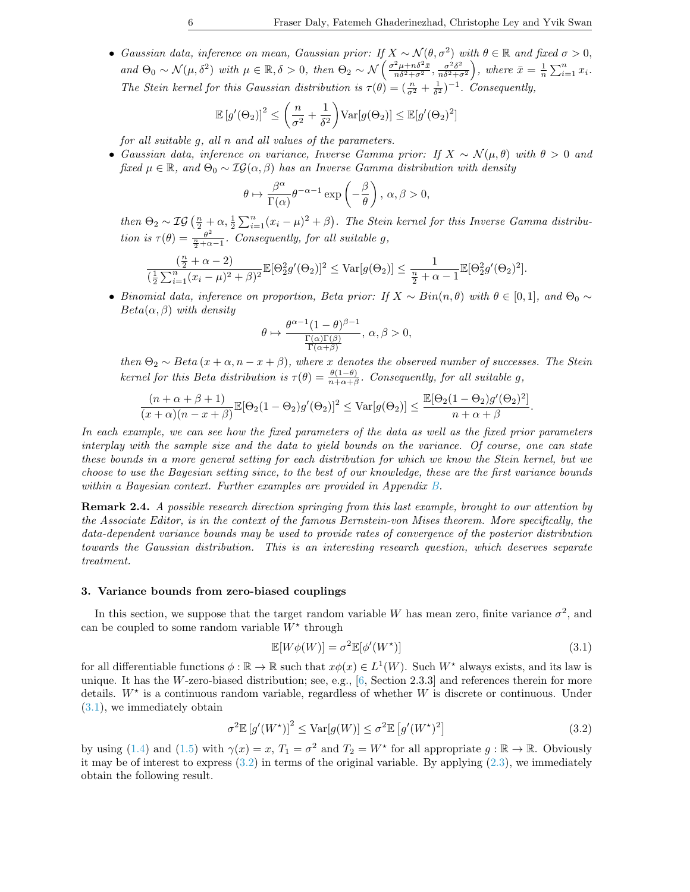• Gaussian data, inference on mean, Gaussian prior: If  $X \sim \mathcal{N}(\theta, \sigma^2)$  with  $\theta \in \mathbb{R}$  and fixed  $\sigma > 0$ , and  $\Theta_0 \sim \mathcal{N}(\mu, \delta^2)$  with  $\mu \in \mathbb{R}, \delta > 0$ , then  $\Theta_2 \sim \mathcal{N}\left(\frac{\sigma^2 \mu + n \delta^2 \bar{x}}{n \delta^2 + \sigma^2}, \frac{\sigma^2 \delta^2}{n \delta^2 + \sigma^2}\right)$  $\left( \frac{\sigma^2 \delta^2}{n \delta^2 + \sigma^2} \right)$ , where  $\bar{x} = \frac{1}{n} \sum_{i=1}^n x_i$ . The Stein kernel for this Gaussian distribution is  $\tau(\theta) = (\frac{n}{\sigma^2} + \frac{1}{\delta^2})^{-1}$ . Consequently,

$$
\mathbb{E}\left[g'(\Theta_2)\right]^2 \le \left(\frac{n}{\sigma^2} + \frac{1}{\delta^2}\right) \text{Var}[g(\Theta_2)] \le \mathbb{E}[g'(\Theta_2)^2]
$$

for all suitable g, all n and all values of the parameters.

• Gaussian data, inference on variance, Inverse Gamma prior: If  $X \sim \mathcal{N}(\mu, \theta)$  with  $\theta > 0$  and fixed  $\mu \in \mathbb{R}$ , and  $\Theta_0 \sim \mathcal{IG}(\alpha, \beta)$  has an Inverse Gamma distribution with density

$$
\theta \mapsto \frac{\beta^{\alpha}}{\Gamma(\alpha)} \theta^{-\alpha-1} \exp\left(-\frac{\beta}{\theta}\right), \ \alpha, \beta > 0,
$$

then  $\Theta_2 \sim \mathcal{IG}(\frac{n}{2} + \alpha, \frac{1}{2} \sum_{i=1}^n (x_i - \mu)^2 + \beta)$ . The Stein kernel for this Inverse Gamma distribution is  $\tau(\theta) = \frac{\theta^2}{\frac{n}{2} + \alpha - 1}$ . Consequently, for all suitable g,

$$
\frac{(\frac{n}{2} + \alpha - 2)}{(\frac{1}{2}\sum_{i=1}^{n}(x_i - \mu)^2 + \beta)^2} \mathbb{E}[\Theta_2^2 g'(\Theta_2)]^2 \leq \text{Var}[g(\Theta_2)] \leq \frac{1}{\frac{n}{2} + \alpha - 1} \mathbb{E}[\Theta_2^2 g'(\Theta_2)^2].
$$

• Binomial data, inference on proportion, Beta prior: If  $X \sim Bin(n, \theta)$  with  $\theta \in [0, 1]$ , and  $\Theta_0 \sim$  $Beta(\alpha, \beta)$  with density

$$
\theta\mapsto \frac{\theta^{\alpha-1}(1-\theta)^{\beta-1}}{\frac{\Gamma(\alpha)\Gamma(\beta)}{\Gamma(\alpha+\beta)}},\,\alpha,\beta>0,
$$

then  $\Theta_2 \sim Beta(x + \alpha, n - x + \beta)$ , where x denotes the observed number of successes. The Stein kernel for this Beta distribution is  $\tau(\theta) = \frac{\theta(1-\theta)}{n+\alpha+\beta}$ . Consequently, for all suitable g,

$$
\frac{(n+\alpha+\beta+1)}{(x+\alpha)(n-x+\beta)}\mathbb{E}[\Theta_2(1-\Theta_2)g'(\Theta_2)]^2 \leq \text{Var}[g(\Theta_2)] \leq \frac{\mathbb{E}[\Theta_2(1-\Theta_2)g'(\Theta_2)^2]}{n+\alpha+\beta}.
$$

In each example, we can see how the fixed parameters of the data as well as the fixed prior parameters interplay with the sample size and the data to yield bounds on the variance. Of course, one can state these bounds in a more general setting for each distribution for which we know the Stein kernel, but we choose to use the Bayesian setting since, to the best of our knowledge, these are the first variance bounds within a Bayesian context. Further examples are provided in Appendix [B.](#page-11-6)

Remark 2.4. A possible research direction springing from this last example, brought to our attention by the Associate Editor, is in the context of the famous Bernstein-von Mises theorem. More specifically, the data-dependent variance bounds may be used to provide rates of convergence of the posterior distribution towards the Gaussian distribution. This is an interesting research question, which deserves separate treatment.

#### <span id="page-6-0"></span>3. Variance bounds from zero-biased couplings

In this section, we suppose that the target random variable W has mean zero, finite variance  $\sigma^2$ , and can be coupled to some random variable  $W^*$  through

<span id="page-6-1"></span>
$$
\mathbb{E}[W\phi(W)] = \sigma^2 \mathbb{E}[\phi'(W^\star)] \tag{3.1}
$$

for all differentiable functions  $\phi : \mathbb{R} \to \mathbb{R}$  such that  $x\phi(x) \in L^1(W)$ . Such  $W^*$  always exists, and its law is unique. It has the W-zero-biased distribution; see, e.g.,  $[6,$  Section 2.3.3] and references therein for more details.  $W^*$  is a continuous random variable, regardless of whether W is discrete or continuous. Under [\(3.1\)](#page-6-1), we immediately obtain

<span id="page-6-2"></span>
$$
\sigma^2 \mathbb{E}\left[g'(W^\star)\right]^2 \le \text{Var}[g(W)] \le \sigma^2 \mathbb{E}\left[g'(W^\star)^2\right] \tag{3.2}
$$

by using [\(1.4\)](#page-2-1) and [\(1.5\)](#page-3-1) with  $\gamma(x) = x$ ,  $T_1 = \sigma^2$  and  $T_2 = W^*$  for all appropriate  $g : \mathbb{R} \to \mathbb{R}$ . Obviously it may be of interest to express  $(3.2)$  in terms of the original variable. By applying  $(2.3)$ , we immediately obtain the following result.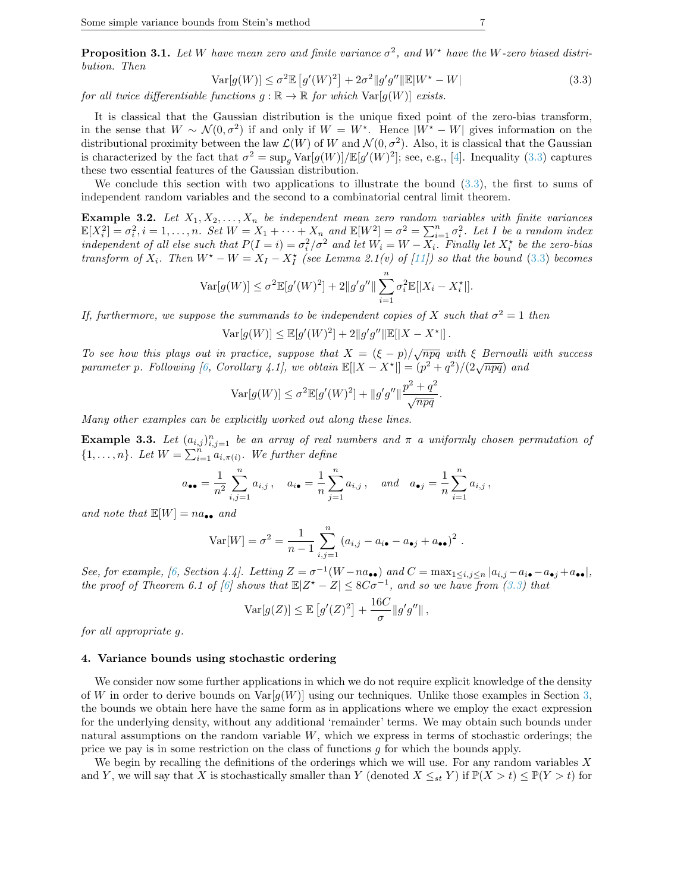**Proposition 3.1.** Let W have mean zero and finite variance  $\sigma^2$ , and  $W^*$  have the W-zero biased distribution. Then

<span id="page-7-1"></span>
$$
\operatorname{Var}[g(W)] \le \sigma^2 \mathbb{E}\left[g'(W)^2\right] + 2\sigma^2 \|g'g''\| \mathbb{E}|W^\star - W| \tag{3.3}
$$

.

for all twice differentiable functions  $g : \mathbb{R} \to \mathbb{R}$  for which  $\text{Var}[g(W)]$  exists.

It is classical that the Gaussian distribution is the unique fixed point of the zero-bias transform, in the sense that  $W \sim \mathcal{N}(0, \sigma^2)$  if and only if  $W = W^*$ . Hence  $|W^* - W|$  gives information on the distributional proximity between the law  $\mathcal{L}(W)$  of W and  $\mathcal{N}(0, \sigma^2)$ . Also, it is classical that the Gaussian is characterized by the fact that  $\sigma^2 = \sup_g \text{Var}[g(W)] / \mathbb{E}[g'(W)^2]$ ; see, e.g., [\[4\]](#page-10-13). Inequality [\(3.3\)](#page-7-1) captures these two essential features of the Gaussian distribution.

We conclude this section with two applications to illustrate the bound  $(3.3)$ , the first to sums of independent random variables and the second to a combinatorial central limit theorem.

**Example 3.2.** Let  $X_1, X_2, \ldots, X_n$  be independent mean zero random variables with finite variances  $\mathbb{E}[X_i^2] = \sigma_i^2, i = 1, \ldots, n$ . Set  $W = X_1 + \cdots + X_n$  and  $\mathbb{E}[W^2] = \sigma^2 = \sum_{i=1}^n \sigma_i^2$ . Let I be a random index independent of all else such that  $P(I = i) = \sigma_i^2/\sigma^2$  and let  $W_i = W - X_i$ . Finally let  $X_i^*$  be the zero-bias transform of  $X_i$ . Then  $W^* - W = X_I - X_I^*$  (see Lemma 2.1(v) of [\[11\]](#page-10-8)) so that the bound [\(3.3\)](#page-7-1) becomes

$$
\text{Var}[g(W)] \le \sigma^2 \mathbb{E}[g'(W)^2] + 2||g'g''|| \sum_{i=1}^n \sigma_i^2 \mathbb{E}[|X_i - X_i^*|].
$$

If, furthermore, we suppose the summands to be independent copies of X such that  $\sigma^2 = 1$  then

$$
Var[g(W)] \leq \mathbb{E}[g'(W)^{2}] + 2||g'g''||\mathbb{E}[|X - X^{\star}||].
$$

To see how this plays out in practice, suppose that  $X = (\xi - p)/\sqrt{npq}$  with  $\xi$  Bernoulli with success parameter p. Following [\[6,](#page-10-6) Corollary 4.1], we obtain  $\mathbb{E}[|X - X^*|] = (p^2 + q^2)/(2\sqrt{npq})$  and

$$
Var[g(W)] \le \sigma^{2} \mathbb{E}[g'(W)^{2}] + ||g'g''|| \frac{p^{2} + q^{2}}{\sqrt{npq}}
$$

Many other examples can be explicitly worked out along these lines.

**Example 3.3.** Let  $(a_{i,j})_{i,j=1}^n$  be an array of real numbers and  $\pi$  a uniformly chosen permutation of  $\{1,\ldots,n\}$ . Let  $W=\sum_{i=1}^n a_{i,\pi(i)}$ . We further define

$$
a_{\bullet \bullet} = \frac{1}{n^2} \sum_{i,j=1}^n a_{i,j}, \quad a_{i \bullet} = \frac{1}{n} \sum_{j=1}^n a_{i,j}, \quad and \quad a_{\bullet j} = \frac{1}{n} \sum_{i=1}^n a_{i,j},
$$

and note that  $\mathbb{E}[W] = na_{\bullet \bullet}$  and

$$
\text{Var}[W] = \sigma^2 = \frac{1}{n-1} \sum_{i,j=1}^n (a_{i,j} - a_{i\bullet} - a_{\bullet j} + a_{\bullet \bullet})^2.
$$

See, for example, [\[6,](#page-10-6) Section 4.4]. Letting  $Z = \sigma^{-1}(W - na_{\bullet \bullet})$  and  $C = \max_{1 \leq i,j \leq n} |a_{i,j} - a_{i \bullet} - a_{\bullet j} + a_{\bullet \bullet}|$ , the proof of Theorem 6.1 of [\[6\]](#page-10-6) shows that  $\mathbb{E}|Z^*-Z|\leq 8C\sigma^{-1}$ , and so we have from [\(3.3\)](#page-7-1) that

$$
\operatorname{Var}[g(Z)] \le \mathbb{E}\left[g'(Z)^2\right] + \frac{16C}{\sigma} \|g'g''\|,
$$

for all appropriate g.

#### <span id="page-7-0"></span>4. Variance bounds using stochastic ordering

We consider now some further applications in which we do not require explicit knowledge of the density of W in order to derive bounds on  $\text{Var}[q(W)]$  using our techniques. Unlike those examples in Section [3,](#page-6-0) the bounds we obtain here have the same form as in applications where we employ the exact expression for the underlying density, without any additional 'remainder' terms. We may obtain such bounds under natural assumptions on the random variable W, which we express in terms of stochastic orderings; the price we pay is in some restriction on the class of functions g for which the bounds apply.

We begin by recalling the definitions of the orderings which we will use. For any random variables  $X$ and Y, we will say that X is stochastically smaller than Y (denoted  $X \leq_{st} Y$ ) if  $\mathbb{P}(X > t) \leq \mathbb{P}(Y > t)$  for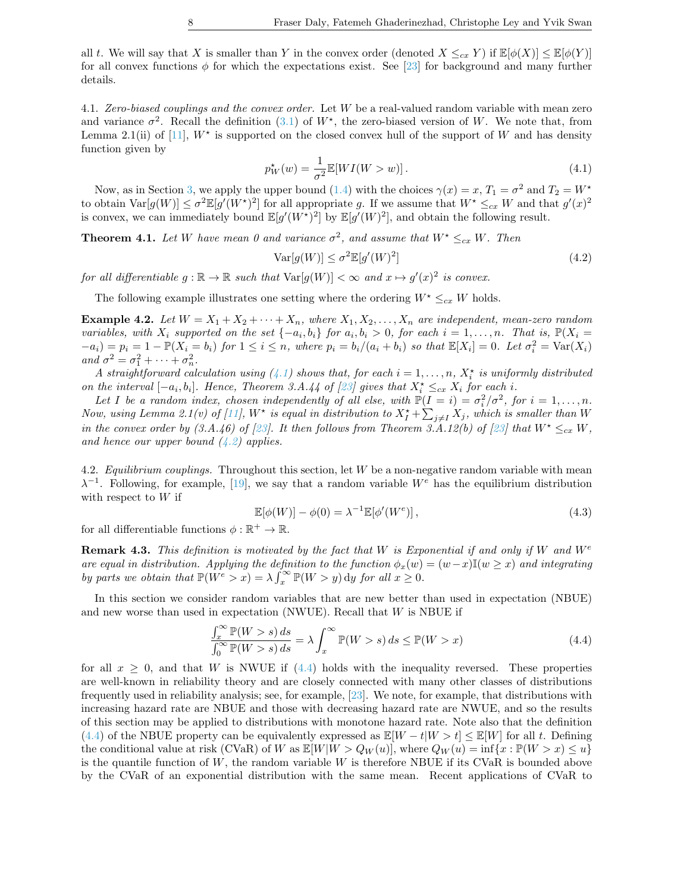all t. We will say that X is smaller than Y in the convex order (denoted  $X \leq_{cx} Y$ ) if  $\mathbb{E}[\phi(X)] \leq \mathbb{E}[\phi(Y)]$ for all convex functions  $\phi$  for which the expectations exist. See [\[23\]](#page-11-7) for background and many further details.

<span id="page-8-3"></span>4.1. Zero-biased couplings and the convex order. Let W be a real-valued random variable with mean zero and variance  $\sigma^2$ . Recall the definition [\(3.1\)](#page-6-1) of  $W^*$ , the zero-biased version of W. We note that, from Lemma 2.1(ii) of [\[11\]](#page-10-8),  $W^*$  is supported on the closed convex hull of the support of W and has density function given by

<span id="page-8-0"></span>
$$
p_W^{\star}(w) = \frac{1}{\sigma^2} \mathbb{E}[WI(W > w)]. \tag{4.1}
$$

Now, as in Section [3,](#page-6-0) we apply the upper bound [\(1.4\)](#page-2-1) with the choices  $\gamma(x) = x$ ,  $T_1 = \sigma^2$  and  $T_2 = W^*$ to obtain  $Var[g(W)] \leq \sigma^2 \mathbb{E}[g'(W^*)^2]$  for all appropriate g. If we assume that  $W^* \leq_{cx} W$  and that  $g'(x)^2$ is convex, we can immediately bound  $\mathbb{E}[g'(W^*)^2]$  by  $\mathbb{E}[g'(W)^2]$ , and obtain the following result.

**Theorem 4.1.** Let W have mean 0 and variance  $\sigma^2$ , and assume that  $W^* \leq_{cx} W$ . Then

<span id="page-8-1"></span>
$$
Var[g(W)] \le \sigma^2 \mathbb{E}[g'(W)^2]
$$
\n(4.2)

for all differentiable  $g : \mathbb{R} \to \mathbb{R}$  such that  $\text{Var}[g(W)] < \infty$  and  $x \mapsto g'(x)^2$  is convex.

The following example illustrates one setting where the ordering  $W^* \leq_{cx} W$  holds.

**Example 4.2.** Let  $W = X_1 + X_2 + \cdots + X_n$ , where  $X_1, X_2, \ldots, X_n$  are independent, mean-zero random variables, with  $X_i$  supported on the set  $\{-a_i, b_i\}$  for  $a_i, b_i > 0$ , for each  $i = 1, \ldots, n$ . That is,  $\mathbb{P}(X_i =$  $(a_i - a_i) = p_i = 1 - \mathbb{P}(X_i = b_i)$  for  $1 \leq i \leq n$ , where  $p_i = b_i/(a_i + b_i)$  so that  $\mathbb{E}[X_i] = 0$ . Let  $\sigma_i^2 = \text{Var}(X_i)$ and  $\sigma^2 = \sigma_1^2 + \cdots + \sigma_n^2$ .

A straightforward calculation using  $(4.1)$  shows that, for each  $i = 1, \ldots, n$ ,  $X_i^*$  is uniformly distributed on the interval  $[-a_i, b_i]$ . Hence, Theorem 3.A.44 of [\[23\]](#page-11-7) gives that  $X_i^* \leq_{cx} X_i$  for each i.

Let I be a random index, chosen independently of all else, with  $\mathbb{P}(I = i) = \sigma_i^2/\sigma^2$ , for  $i = 1, ..., n$ . Now, using Lemma 2.1(v) of [\[11\]](#page-10-8),  $W^{\star}$  is equal in distribution to  $X_I^{\star} + \sum_{j\neq I} X_j$ , which is smaller than W in the convex order by (3.A.46) of [\[23\]](#page-11-7). It then follows from Theorem 3.A.12(b) of [23] that  $W^* \leq_{cx} W$ , and hence our upper bound  $(4.2)$  applies.

4.2. Equilibrium couplings. Throughout this section, let  $W$  be a non-negative random variable with mean  $\lambda^{-1}$ . Following, for example, [\[19\]](#page-11-8), we say that a random variable  $W^e$  has the equilibrium distribution with respect to  $W$  if

<span id="page-8-4"></span>
$$
\mathbb{E}[\phi(W)] - \phi(0) = \lambda^{-1} \mathbb{E}[\phi'(W^e)],\tag{4.3}
$$

for all differentiable functions  $\phi : \mathbb{R}^+ \to \mathbb{R}$ .

**Remark 4.3.** This definition is motivated by the fact that W is Exponential if and only if W and  $W^e$ are equal in distribution. Applying the definition to the function  $\phi_x(w) = (w-x)\mathbb{I}(w \geq x)$  and integrating by parts we obtain that  $\mathbb{P}(W^e > x) = \lambda \int_x^{\infty} \mathbb{P}(W > y) dy$  for all  $x \geq 0$ .

In this section we consider random variables that are new better than used in expectation (NBUE) and new worse than used in expectation (NWUE). Recall that  $W$  is NBUE if

<span id="page-8-2"></span>
$$
\frac{\int_{x}^{\infty} \mathbb{P}(W > s) ds}{\int_{0}^{\infty} \mathbb{P}(W > s) ds} = \lambda \int_{x}^{\infty} \mathbb{P}(W > s) ds \le \mathbb{P}(W > x)
$$
\n(4.4)

for all  $x \geq 0$ , and that W is NWUE if [\(4.4\)](#page-8-2) holds with the inequality reversed. These properties are well-known in reliability theory and are closely connected with many other classes of distributions frequently used in reliability analysis; see, for example, [\[23\]](#page-11-7). We note, for example, that distributions with increasing hazard rate are NBUE and those with decreasing hazard rate are NWUE, and so the results of this section may be applied to distributions with monotone hazard rate. Note also that the definition [\(4.4\)](#page-8-2) of the NBUE property can be equivalently expressed as  $\mathbb{E}[W - t|W > t] \leq \mathbb{E}[W]$  for all t. Defining the conditional value at risk (CVaR) of W as  $\mathbb{E}[W|W > Q_W(u)]$ , where  $Q_W(u) = \inf\{x : \mathbb{P}(W > x) \leq u\}$ is the quantile function of  $W$ , the random variable  $W$  is therefore NBUE if its CVaR is bounded above by the CVaR of an exponential distribution with the same mean. Recent applications of CVaR to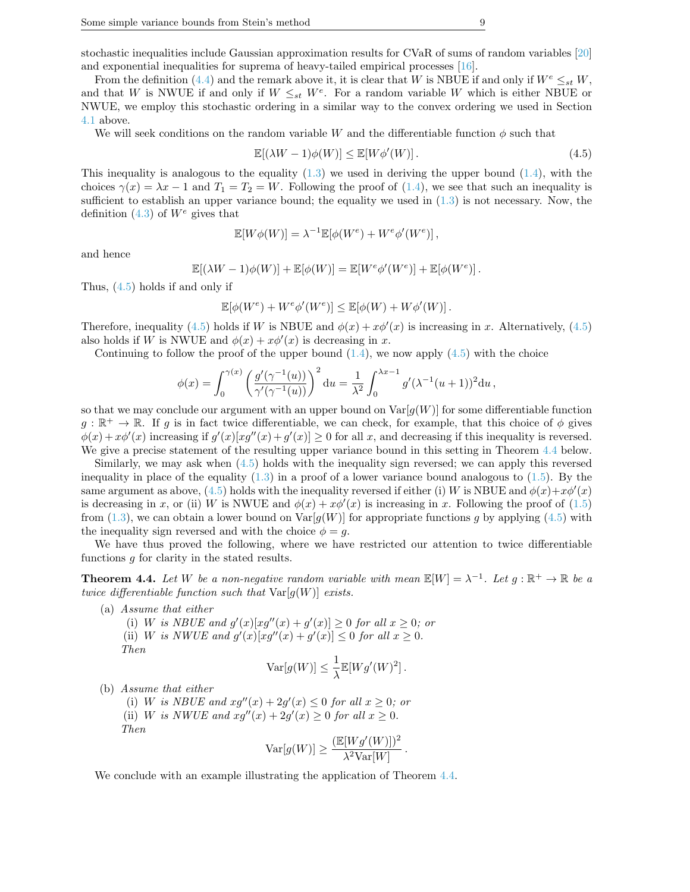stochastic inequalities include Gaussian approximation results for CVaR of sums of random variables [\[20\]](#page-11-9) and exponential inequalities for suprema of heavy-tailed empirical processes [\[16\]](#page-10-14).

From the definition [\(4.4\)](#page-8-2) and the remark above it, it is clear that W is NBUE if and only if  $W^e \leq_{st} W$ , and that W is NWUE if and only if  $W \leq_{st} W^e$ . For a random variable W which is either NBUE or NWUE, we employ this stochastic ordering in a similar way to the convex ordering we used in Section [4.1](#page-8-3) above.

We will seek conditions on the random variable W and the differentiable function  $\phi$  such that

<span id="page-9-0"></span>
$$
\mathbb{E}[(\lambda W - 1)\phi(W)] \le \mathbb{E}[W\phi'(W)].
$$
\n(4.5)

This inequality is analogous to the equality  $(1.3)$  we used in deriving the upper bound  $(1.4)$ , with the choices  $\gamma(x) = \lambda x - 1$  and  $T_1 = T_2 = W$ . Following the proof of [\(1.4\)](#page-2-1), we see that such an inequality is sufficient to establish an upper variance bound; the equality we used in  $(1.3)$  is not necessary. Now, the definition  $(4.3)$  of  $W<sup>e</sup>$  gives that

$$
\mathbb{E}[W\phi(W)] = \lambda^{-1} \mathbb{E}[\phi(W^e) + W^e \phi'(W^e)],
$$

and hence

$$
\mathbb{E}[(\lambda W - 1)\phi(W)] + \mathbb{E}[\phi(W)] = \mathbb{E}[W^e\phi'(W^e)] + \mathbb{E}[\phi(W^e)].
$$

Thus, [\(4.5\)](#page-9-0) holds if and only if

$$
\mathbb{E}[\phi(W^e) + W^e \phi'(W^e)] \le \mathbb{E}[\phi(W) + W \phi'(W)].
$$

Therefore, inequality [\(4.5\)](#page-9-0) holds if W is NBUE and  $\phi(x) + x\phi'(x)$  is increasing in x. Alternatively, (4.5) also holds if W is NWUE and  $\phi(x) + x\phi'(x)$  is decreasing in x.

Continuing to follow the proof of the upper bound  $(1.4)$ , we now apply  $(4.5)$  with the choice

$$
\phi(x) = \int_0^{\gamma(x)} \left( \frac{g'(\gamma^{-1}(u))}{\gamma'(\gamma^{-1}(u))} \right)^2 du = \frac{1}{\lambda^2} \int_0^{\lambda x - 1} g'(\lambda^{-1}(u+1))^2 du,
$$

so that we may conclude our argument with an upper bound on  $\text{Var}[g(W)]$  for some differentiable function  $g : \mathbb{R}^+ \to \mathbb{R}$ . If g is in fact twice differentiable, we can check, for example, that this choice of  $\phi$  gives  $\phi(x) + x\phi'(x)$  increasing if  $g'(x)[xg''(x) + g'(x)] \ge 0$  for all x, and decreasing if this inequality is reversed. We give a precise statement of the resulting upper variance bound in this setting in Theorem [4.4](#page-9-1) below.

Similarly, we may ask when [\(4.5\)](#page-9-0) holds with the inequality sign reversed; we can apply this reversed inequality in place of the equality  $(1.3)$  in a proof of a lower variance bound analogous to  $(1.5)$ . By the same argument as above, [\(4.5\)](#page-9-0) holds with the inequality reversed if either (i) W is NBUE and  $\phi(x)+x\phi'(x)$ is decreasing in x, or (ii) W is NWUE and  $\phi(x) + x\phi'(x)$  is increasing in x. Following the proof of [\(1.5\)](#page-3-1) from [\(1.3\)](#page-2-0), we can obtain a lower bound on  $\text{Var}[g(W)]$  for appropriate functions g by applying [\(4.5\)](#page-9-0) with the inequality sign reversed and with the choice  $\phi = g$ .

We have thus proved the following, where we have restricted our attention to twice differentiable functions g for clarity in the stated results.

<span id="page-9-1"></span>**Theorem 4.4.** Let W be a non-negative random variable with mean  $\mathbb{E}[W] = \lambda^{-1}$ . Let  $g : \mathbb{R}^+ \to \mathbb{R}$  be a twice differentiable function such that  $Var[g(W)]$  exists.

(a) Assume that either

(i) W is NBUE and  $g'(x)[xg''(x) + g'(x)] \geq 0$  for all  $x \geq 0$ ; or (ii) W is NWUE and  $g'(x)[xg''(x) + g'(x)] \leq 0$  for all  $x \geq 0$ . Then 1

$$
\text{Var}[g(W)] \leq \frac{1}{\lambda} \mathbb{E}[Wg'(W)^2].
$$

(b) Assume that either

(i) W is NBUE and  $xg''(x) + 2g'(x) \leq 0$  for all  $x \geq 0$ ; or (ii) W is NWUE and  $xg''(x) + 2g'(x) \ge 0$  for all  $x \ge 0$ . Then

$$
\text{Var}[g(W)] \ge \frac{(\mathbb{E}[Wg'(W)])^2}{\lambda^2 \text{Var}[W]}
$$

.

We conclude with an example illustrating the application of Theorem [4.4.](#page-9-1)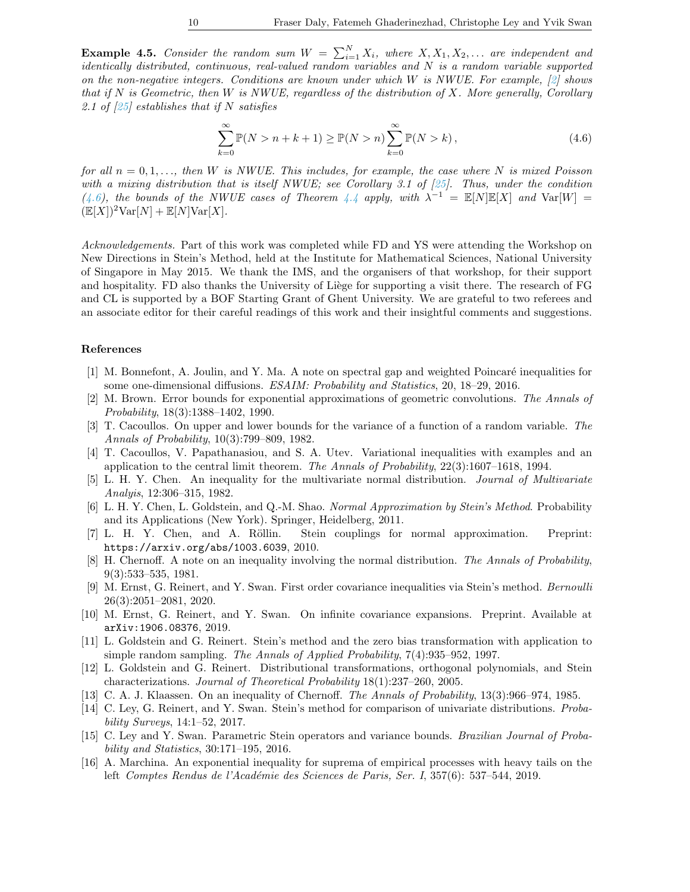**Example 4.5.** Consider the random sum  $W = \sum_{i=1}^{N} X_i$ , where  $X, X_1, X_2, \ldots$  are independent and identically distributed, continuous, real-valued random variables and N is a random variable supported on the non-negative integers. Conditions are known under which W is NWUE. For example,  $[2]$  shows that if  $N$  is Geometric, then  $W$  is NWUE, regardless of the distribution of  $X$ . More generally, Corollary 2.1 of  $\left[25\right]$  establishes that if N satisfies

<span id="page-10-16"></span>
$$
\sum_{k=0}^{\infty} \mathbb{P}(N > n + k + 1) \ge \mathbb{P}(N > n) \sum_{k=0}^{\infty} \mathbb{P}(N > k),
$$
\n(4.6)

for all  $n = 0, 1, \ldots$ , then W is NWUE. This includes, for example, the case where N is mixed Poisson with a mixing distribution that is itself NWUE; see Corollary 3.1 of [\[25\]](#page-11-10). Thus, under the condition [\(4.6\)](#page-10-16), the bounds of the NWUE cases of Theorem [4.4](#page-9-1) apply, with  $\lambda^{-1} = \mathbb{E}[N]\mathbb{E}[X]$  and  $\text{Var}[W] =$  $(\mathbb{E}[X])^2 \text{Var}[N] + \mathbb{E}[N] \text{Var}[X].$ 

Acknowledgements. Part of this work was completed while FD and YS were attending the Workshop on New Directions in Stein's Method, held at the Institute for Mathematical Sciences, National University of Singapore in May 2015. We thank the IMS, and the organisers of that workshop, for their support and hospitality. FD also thanks the University of Liège for supporting a visit there. The research of FG and CL is supported by a BOF Starting Grant of Ghent University. We are grateful to two referees and an associate editor for their careful readings of this work and their insightful comments and suggestions.

#### References

- <span id="page-10-11"></span>[1] M. Bonnefont, A. Joulin, and Y. Ma. A note on spectral gap and weighted Poincaré inequalities for some one-dimensional diffusions. ESAIM: Probability and Statistics, 20, 18–29, 2016.
- <span id="page-10-15"></span>[2] M. Brown. Error bounds for exponential approximations of geometric convolutions. The Annals of Probability, 18(3):1388–1402, 1990.
- <span id="page-10-1"></span>[3] T. Cacoullos. On upper and lower bounds for the variance of a function of a random variable. The Annals of Probability, 10(3):799–809, 1982.
- <span id="page-10-13"></span>[4] T. Cacoullos, V. Papathanasiou, and S. A. Utev. Variational inequalities with examples and an application to the central limit theorem. The Annals of Probability, 22(3):1607–1618, 1994.
- <span id="page-10-2"></span>[5] L. H. Y. Chen. An inequality for the multivariate normal distribution. Journal of Multivariate Analyis, 12:306–315, 1982.
- <span id="page-10-6"></span>[6] L. H. Y. Chen, L. Goldstein, and Q.-M. Shao. Normal Approximation by Stein's Method. Probability and its Applications (New York). Springer, Heidelberg, 2011.
- <span id="page-10-9"></span>[7] L. H. Y. Chen, and A. Röllin. Stein couplings for normal approximation. Preprint: https://arxiv.org/abs/1003.6039, 2010.
- <span id="page-10-0"></span>[8] H. Chernoff. A note on an inequality involving the normal distribution. The Annals of Probability, 9(3):533–535, 1981.
- <span id="page-10-4"></span>[9] M. Ernst, G. Reinert, and Y. Swan. First order covariance inequalities via Stein's method. Bernoulli 26(3):2051–2081, 2020.
- <span id="page-10-5"></span>[10] M. Ernst, G. Reinert, and Y. Swan. On infinite covariance expansions. Preprint. Available at arXiv:1906.08376, 2019.
- <span id="page-10-8"></span>[11] L. Goldstein and G. Reinert. Stein's method and the zero bias transformation with application to simple random sampling. The Annals of Applied Probability, 7(4):935–952, 1997.
- <span id="page-10-12"></span>[12] L. Goldstein and G. Reinert. Distributional transformations, orthogonal polynomials, and Stein characterizations. Journal of Theoretical Probability 18(1):237–260, 2005.
- <span id="page-10-3"></span>[13] C. A. J. Klaassen. On an inequality of Chernoff. The Annals of Probability, 13(3):966–974, 1985.
- <span id="page-10-7"></span>[14] C. Ley, G. Reinert, and Y. Swan. Stein's method for comparison of univariate distributions. Probability Surveys, 14:1–52, 2017.
- <span id="page-10-10"></span>[15] C. Ley and Y. Swan. Parametric Stein operators and variance bounds. Brazilian Journal of Probability and Statistics, 30:171–195, 2016.
- <span id="page-10-14"></span>[16] A. Marchina. An exponential inequality for suprema of empirical processes with heavy tails on the left Comptes Rendus de l'Académie des Sciences de Paris, Ser. I, 357(6): 537–544, 2019.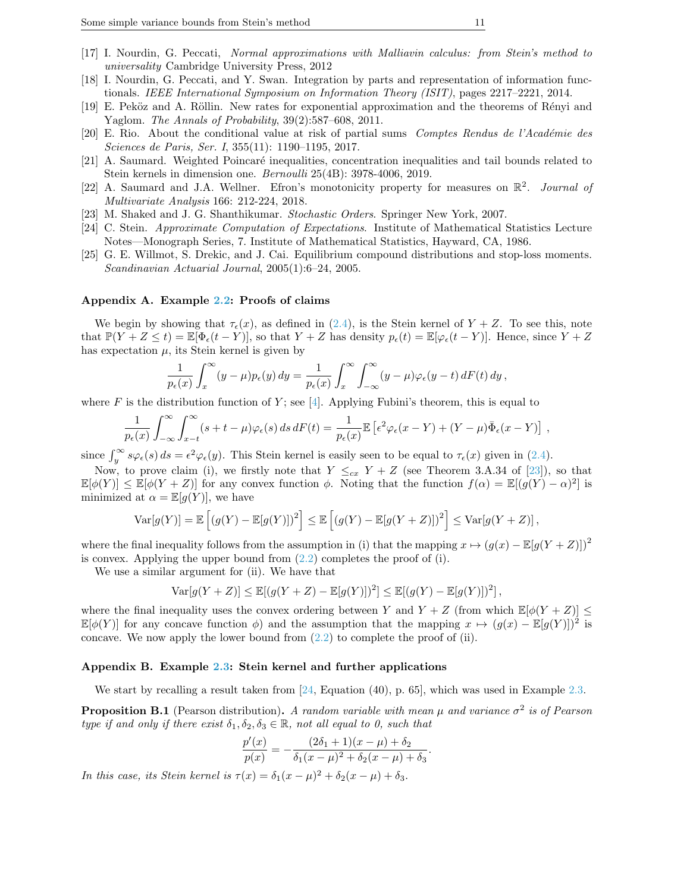- <span id="page-11-0"></span>[17] I. Nourdin, G. Peccati, Normal approximations with Malliavin calculus: from Stein's method to universality Cambridge University Press, 2012
- <span id="page-11-3"></span>[18] I. Nourdin, G. Peccati, and Y. Swan. Integration by parts and representation of information functionals. IEEE International Symposium on Information Theory (ISIT), pages 2217–2221, 2014.
- <span id="page-11-8"></span>[19] E. Peköz and A. Röllin. New rates for exponential approximation and the theorems of Rényi and Yaglom. The Annals of Probability, 39(2):587–608, 2011.
- <span id="page-11-9"></span>[20] E. Rio. About the conditional value at risk of partial sums Comptes Rendus de l'Académie des Sciences de Paris, Ser. I, 355(11): 1190–1195, 2017.
- <span id="page-11-1"></span>[21] A. Saumard. Weighted Poincaré inequalities, concentration inequalities and tail bounds related to Stein kernels in dimension one. Bernoulli 25(4B): 3978-4006, 2019.
- <span id="page-11-2"></span>[22] A. Saumard and J.A. Wellner. Efron's monotonicity property for measures on  $\mathbb{R}^2$ . Journal of Multivariate Analysis 166: 212-224, 2018.
- <span id="page-11-7"></span>[23] M. Shaked and J. G. Shanthikumar. Stochastic Orders. Springer New York, 2007.
- <span id="page-11-11"></span>[24] C. Stein. Approximate Computation of Expectations. Institute of Mathematical Statistics Lecture Notes—Monograph Series, 7. Institute of Mathematical Statistics, Hayward, CA, 1986.
- <span id="page-11-10"></span>[25] G. E. Willmot, S. Drekic, and J. Cai. Equilibrium compound distributions and stop-loss moments. Scandinavian Actuarial Journal, 2005(1):6–24, 2005.

## <span id="page-11-4"></span>Appendix A. Example [2.2:](#page-5-0) Proofs of claims

We begin by showing that  $\tau_{\epsilon}(x)$ , as defined in [\(2.4\)](#page-5-1), is the Stein kernel of  $Y + Z$ . To see this, note that  $\mathbb{P}(Y + Z \leq t) = \mathbb{E}[\Phi_{\epsilon}(t - Y)],$  so that  $Y + Z$  has density  $p_{\epsilon}(t) = \mathbb{E}[\varphi_{\epsilon}(t - Y)].$  Hence, since  $Y + Z$ has expectation  $\mu$ , its Stein kernel is given by

$$
\frac{1}{p_{\epsilon}(x)} \int_x^{\infty} (y - \mu) p_{\epsilon}(y) dy = \frac{1}{p_{\epsilon}(x)} \int_x^{\infty} \int_{-\infty}^{\infty} (y - \mu) \varphi_{\epsilon}(y - t) dF(t) dy,
$$

where F is the distribution function of Y; see [\[4\]](#page-10-13). Applying Fubini's theorem, this is equal to

$$
\frac{1}{p_{\epsilon}(x)}\int_{-\infty}^{\infty}\int_{x-t}^{\infty}(s+t-\mu)\varphi_{\epsilon}(s)\,ds\,dF(t)=\frac{1}{p_{\epsilon}(x)}\mathbb{E}\left[\epsilon^2\varphi_{\epsilon}(x-Y)+(Y-\mu)\bar{\Phi}_{\epsilon}(x-Y)\right],
$$

since  $\int_y^{\infty} s\varphi_{\epsilon}(s) ds = \epsilon^2 \varphi_{\epsilon}(y)$ . This Stein kernel is easily seen to be equal to  $\tau_{\epsilon}(x)$  given in [\(2.4\)](#page-5-1).

Now, to prove claim (i), we firstly note that  $Y \leq_{cx} Y + Z$  (see Theorem 3.A.34 of [\[23\]](#page-11-7)), so that  $\mathbb{E}[\phi(Y)] \leq \mathbb{E}[\phi(Y+Z)]$  for any convex function  $\phi$ . Noting that the function  $f(\alpha) = \mathbb{E}[(g(Y) - \alpha)^2]$  is minimized at  $\alpha = \mathbb{E}[g(Y)]$ , we have

$$
\text{Var}[g(Y)] = \mathbb{E}\left[\left(g(Y) - \mathbb{E}[g(Y)]\right)^2\right] \le \mathbb{E}\left[\left(g(Y) - \mathbb{E}[g(Y+Z)]\right)^2\right] \le \text{Var}[g(Y+Z)],
$$

where the final inequality follows from the assumption in (i) that the mapping  $x \mapsto (g(x) - \mathbb{E}[g(Y+Z)])^2$ is convex. Applying the upper bound from  $(2.2)$  completes the proof of (i).

We use a similar argument for (ii). We have that

$$
\operatorname{Var}[g(Y+Z)] \le \mathbb{E}[(g(Y+Z) - \mathbb{E}[g(Y)])^2] \le \mathbb{E}[(g(Y) - \mathbb{E}[g(Y)])^2],
$$

where the final inequality uses the convex ordering between Y and  $Y + Z$  (from which  $\mathbb{E}[\phi(Y+Z)] \leq$  $\mathbb{E}[\phi(Y)]$  for any concave function  $\phi$ ) and the assumption that the mapping  $x \mapsto (g(x) - \mathbb{E}[g(Y)])^2$  is concave. We now apply the lower bound from  $(2.2)$  to complete the proof of (ii).

### <span id="page-11-6"></span>Appendix B. Example [2.3:](#page-5-2) Stein kernel and further applications

We start by recalling a result taken from [\[24,](#page-11-11) Equation (40), p. 65], which was used in Example [2.3.](#page-5-2)

<span id="page-11-5"></span>**Proposition B.1** (Pearson distribution). A random variable with mean  $\mu$  and variance  $\sigma^2$  is of Pearson type if and only if there exist  $\delta_1, \delta_2, \delta_3 \in \mathbb{R}$ , not all equal to 0, such that

$$
\frac{p'(x)}{p(x)} = -\frac{(2\delta_1 + 1)(x - \mu) + \delta_2}{\delta_1(x - \mu)^2 + \delta_2(x - \mu) + \delta_3}
$$

.

In this case, its Stein kernel is  $\tau(x) = \delta_1(x - \mu)^2 + \delta_2(x - \mu) + \delta_3$ .